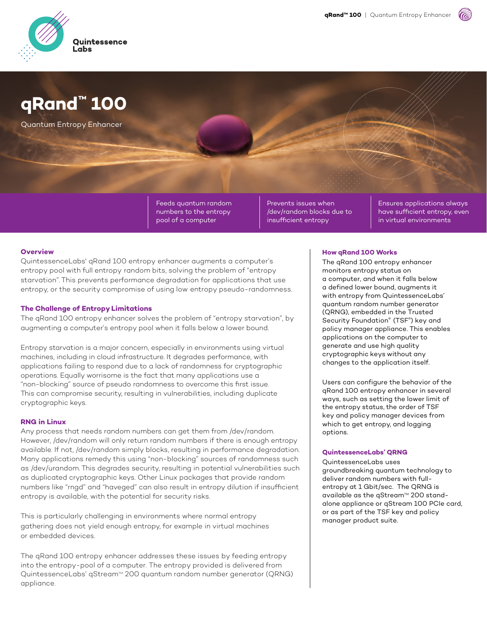

# **qRand™ 100**

Quantum Entropy Enhancer

Feeds quantum random numbers to the entropy pool of a computer

Prevents issues when /dev/random blocks due to insufficient entropy

Ensures applications always have sufficient entropy, even in virtual environments

## **Overview**

QuintessenceLabs' qRand 100 entropy enhancer augments a computer's entropy pool with full entropy random bits, solving the problem of "entropy starvation". This prevents performance degradation for applications that use entropy, or the security compromise of using low entropy pseudo-randomness.

## **The Challenge of Entropy Limitations**

The qRand 100 entropy enhancer solves the problem of "entropy starvation", by augmenting a computer's entropy pool when it falls below a lower bound.

Entropy starvation is a major concern, especially in environments using virtual machines, including in cloud infrastructure. It degrades performance, with applications failing to respond due to a lack of randomness for cryptographic operations. Equally worrisome is the fact that many applications use a "non-blocking" source of pseudo randomness to overcome this first issue. This can compromise security, resulting in vulnerabilities, including duplicate cryptographic keys.

## **RNG in Linux**

Any process that needs random numbers can get them from /dev/random. However, /dev/random will only return random numbers if there is enough entropy available. If not, /dev/random simply blocks, resulting in performance degradation. Many applications remedy this using "non-blocking" sources of randomness such as /dev/urandom. This degrades security, resulting in potential vulnerabilities such as duplicated cryptographic keys. Other Linux packages that provide random numbers like "rngd" and "haveged" can also result in entropy dilution if insufficient entropy is available, with the potential for security risks.

This is particularly challenging in environments where normal entropy gathering does not yield enough entropy, for example in virtual machines or embedded devices.

The qRand 100 entropy enhancer addresses these issues by feeding entropy into the entropy-pool of a computer. The entropy provided is delivered from QuintessenceLabs' qStream™ 200 quantum random number generator (QRNG) appliance.

#### **How gRand 100 Works**

The qRand 100 entropy enhancer monitors entropy status on a computer, and when it falls below a defined lower bound, augments it with entropy from QuintessenceLabs' quantum random number generator (QRNG), embedded in the Trusted Security Foundation® (TSF®) key and policy manager appliance. This enables applications on the computer to generate and use high quality cryptographic keys without any changes to the application itself.

Users can configure the behavior of the qRand 100 entropy enhancer in several ways, such as setting the lower limit of the entropy status, the order of TSF key and policy manager devices from which to get entropy, and logging options.

#### **QuintessenceLabs' ORNG**

QuintessenceLabs uses groundbreaking guantum technology to deliver random numbers with fullentropy at 1 Gbit/sec. The QRNG is available as the qStream™ 200 standalone appliance or qStream 100 PCIe card, or as part of the TSF key and policy manager product suite.